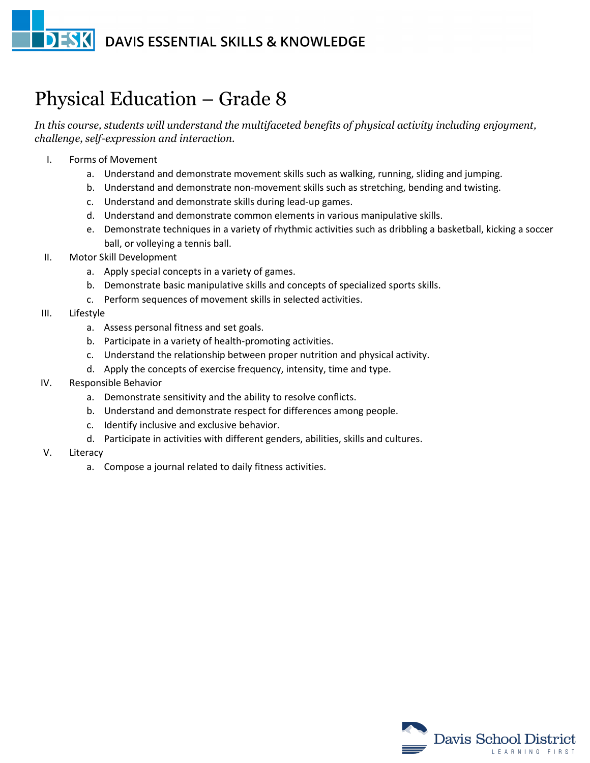## **DESK DAVIS ESSENTIAL SKILLS & KNOWLEDGE**

## Physical Education – Grade 8

*In this course, students will understand the multifaceted benefits of physical activity including enjoyment, challenge, self-expression and interaction.*

- I. Forms of Movement
	- a. Understand and demonstrate movement skills such as walking, running, sliding and jumping.
	- b. Understand and demonstrate non-movement skills such as stretching, bending and twisting.
	- c. Understand and demonstrate skills during lead-up games.
	- d. Understand and demonstrate common elements in various manipulative skills.
	- e. Demonstrate techniques in a variety of rhythmic activities such as dribbling a basketball, kicking a soccer ball, or volleying a tennis ball.
- II. Motor Skill Development
	- a. Apply special concepts in a variety of games.
	- b. Demonstrate basic manipulative skills and concepts of specialized sports skills.
	- c. Perform sequences of movement skills in selected activities.
- III. Lifestyle
	- a. Assess personal fitness and set goals.
	- b. Participate in a variety of health-promoting activities.
	- c. Understand the relationship between proper nutrition and physical activity.
	- d. Apply the concepts of exercise frequency, intensity, time and type.
- IV. Responsible Behavior
	- a. Demonstrate sensitivity and the ability to resolve conflicts.
	- b. Understand and demonstrate respect for differences among people.
	- c. Identify inclusive and exclusive behavior.
	- d. Participate in activities with different genders, abilities, skills and cultures.
- V. Literacy
	- a. Compose a journal related to daily fitness activities.